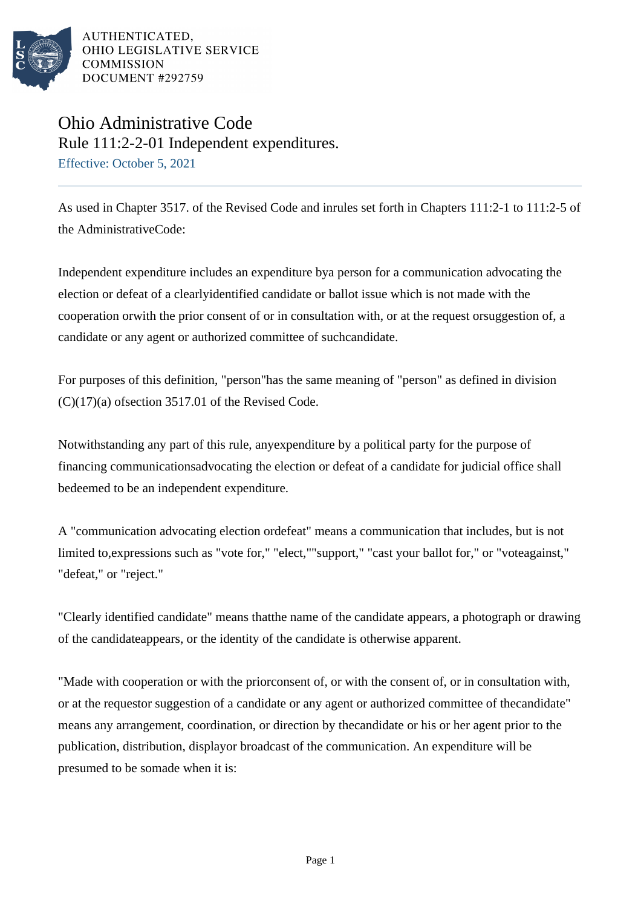

AUTHENTICATED. OHIO LEGISLATIVE SERVICE **COMMISSION** DOCUMENT #292759

## Ohio Administrative Code Rule 111:2-2-01 Independent expenditures. Effective: October 5, 2021

As used in Chapter 3517. of the Revised Code and inrules set forth in Chapters 111:2-1 to 111:2-5 of the AdministrativeCode:

Independent expenditure includes an expenditure bya person for a communication advocating the election or defeat of a clearlyidentified candidate or ballot issue which is not made with the cooperation orwith the prior consent of or in consultation with, or at the request orsuggestion of, a candidate or any agent or authorized committee of suchcandidate.

For purposes of this definition, "person"has the same meaning of "person" as defined in division  $(C)(17)(a)$  of section 3517.01 of the Revised Code.

Notwithstanding any part of this rule, anyexpenditure by a political party for the purpose of financing communicationsadvocating the election or defeat of a candidate for judicial office shall bedeemed to be an independent expenditure.

A "communication advocating election ordefeat" means a communication that includes, but is not limited to,expressions such as "vote for," "elect,""support," "cast your ballot for," or "voteagainst," "defeat," or "reject."

"Clearly identified candidate" means thatthe name of the candidate appears, a photograph or drawing of the candidateappears, or the identity of the candidate is otherwise apparent.

"Made with cooperation or with the priorconsent of, or with the consent of, or in consultation with, or at the requestor suggestion of a candidate or any agent or authorized committee of thecandidate" means any arrangement, coordination, or direction by thecandidate or his or her agent prior to the publication, distribution, displayor broadcast of the communication. An expenditure will be presumed to be somade when it is: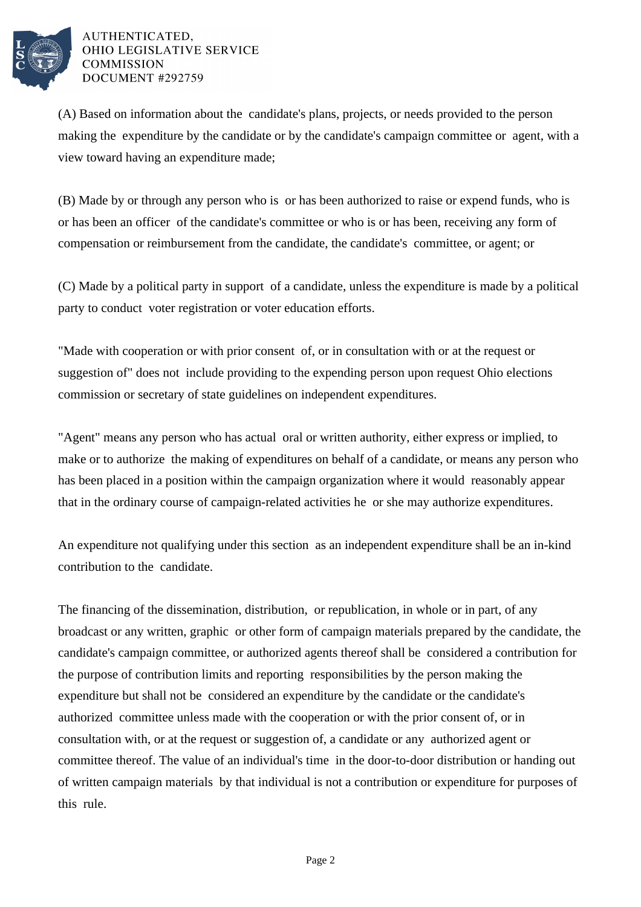

## AUTHENTICATED. OHIO LEGISLATIVE SERVICE **COMMISSION** DOCUMENT #292759

(A) Based on information about the candidate's plans, projects, or needs provided to the person making the expenditure by the candidate or by the candidate's campaign committee or agent, with a view toward having an expenditure made;

(B) Made by or through any person who is or has been authorized to raise or expend funds, who is or has been an officer of the candidate's committee or who is or has been, receiving any form of compensation or reimbursement from the candidate, the candidate's committee, or agent; or

(C) Made by a political party in support of a candidate, unless the expenditure is made by a political party to conduct voter registration or voter education efforts.

"Made with cooperation or with prior consent of, or in consultation with or at the request or suggestion of" does not include providing to the expending person upon request Ohio elections commission or secretary of state guidelines on independent expenditures.

"Agent" means any person who has actual oral or written authority, either express or implied, to make or to authorize the making of expenditures on behalf of a candidate, or means any person who has been placed in a position within the campaign organization where it would reasonably appear that in the ordinary course of campaign-related activities he or she may authorize expenditures.

An expenditure not qualifying under this section as an independent expenditure shall be an in-kind contribution to the candidate.

The financing of the dissemination, distribution, or republication, in whole or in part, of any broadcast or any written, graphic or other form of campaign materials prepared by the candidate, the candidate's campaign committee, or authorized agents thereof shall be considered a contribution for the purpose of contribution limits and reporting responsibilities by the person making the expenditure but shall not be considered an expenditure by the candidate or the candidate's authorized committee unless made with the cooperation or with the prior consent of, or in consultation with, or at the request or suggestion of, a candidate or any authorized agent or committee thereof. The value of an individual's time in the door-to-door distribution or handing out of written campaign materials by that individual is not a contribution or expenditure for purposes of this rule.